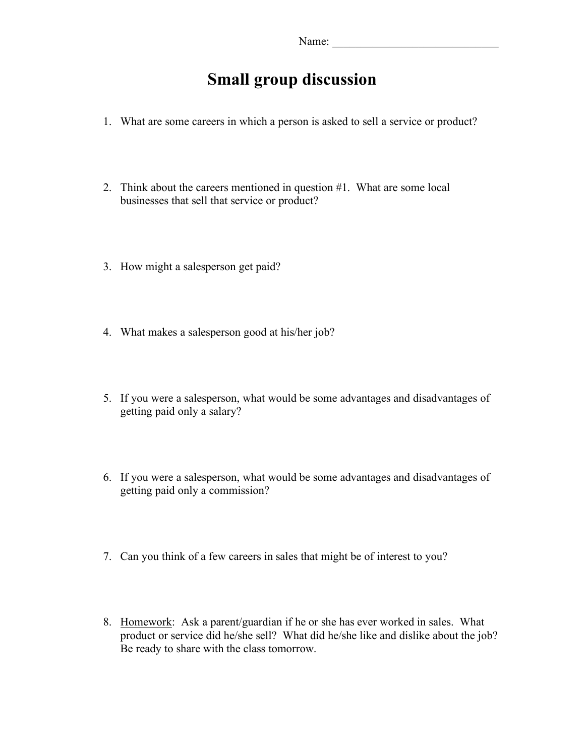# **Small group discussion**

- 1. What are some careers in which a person is asked to sell a service or product?
- 2. Think about the careers mentioned in question #1. What are some local businesses that sell that service or product?
- 3. How might a salesperson get paid?
- 4. What makes a salesperson good at his/her job?
- 5. If you were a salesperson, what would be some advantages and disadvantages of getting paid only a salary?
- 6. If you were a salesperson, what would be some advantages and disadvantages of getting paid only a commission?
- 7. Can you think of a few careers in sales that might be of interest to you?
- 8. Homework: Ask a parent/guardian if he or she has ever worked in sales. What product or service did he/she sell? What did he/she like and dislike about the job? Be ready to share with the class tomorrow.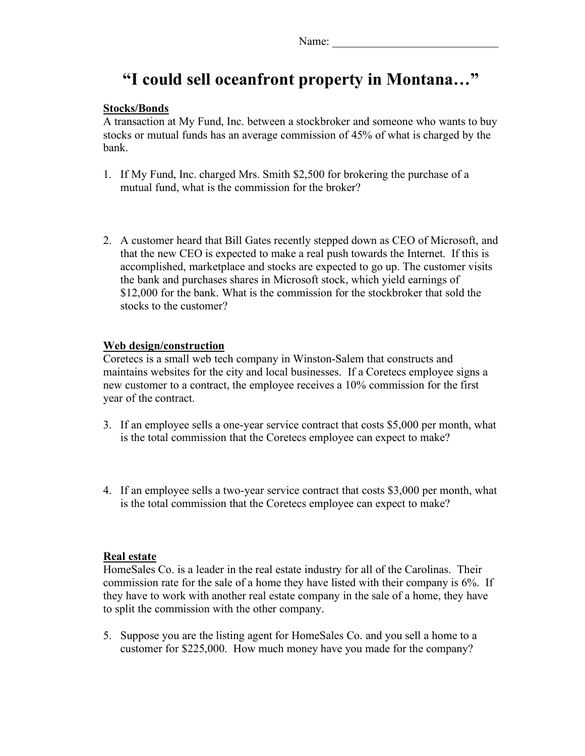## **"I could sell oceanfront property in Montana…"**

#### **Stocks/Bonds**

A transaction at My Fund, Inc. between a stockbroker and someone who wants to buy stocks or mutual funds has an average commission of 45% of what is charged by the bank.

- 1. If My Fund, Inc. charged Mrs. Smith \$2,500 for brokering the purchase of a mutual fund, what is the commission for the broker?
- 2. A customer heard that Bill Gates recently stepped down as CEO of Microsoft, and that the new CEO is expected to make a real push towards the Internet. If this is accomplished, marketplace and stocks are expected to go up. The customer visits the bank and purchases shares in Microsoft stock, which yield earnings of \$12,000 for the bank. What is the commission for the stockbroker that sold the stocks to the customer?

### **Web design/construction**

Coretecs is a small web tech company in Winston-Salem that constructs and maintains websites for the city and local businesses. If a Coretecs employee signs a new customer to a contract, the employee receives a 10% commission for the first year of the contract.

- 3. If an employee sells a one-year service contract that costs \$5,000 per month, what is the total commission that the Coretecs employee can expect to make?
- 4. If an employee sells a two-year service contract that costs \$3,000 per month, what is the total commission that the Coretecs employee can expect to make?

#### **Real estate**

HomeSales Co. is a leader in the real estate industry for all of the Carolinas. Their commission rate for the sale of a home they have listed with their company is 6%. If they have to work with another real estate company in the sale of a home, they have to split the commission with the other company.

5. Suppose you are the listing agent for HomeSales Co. and you sell a home to a customer for \$225,000. How much money have you made for the company?